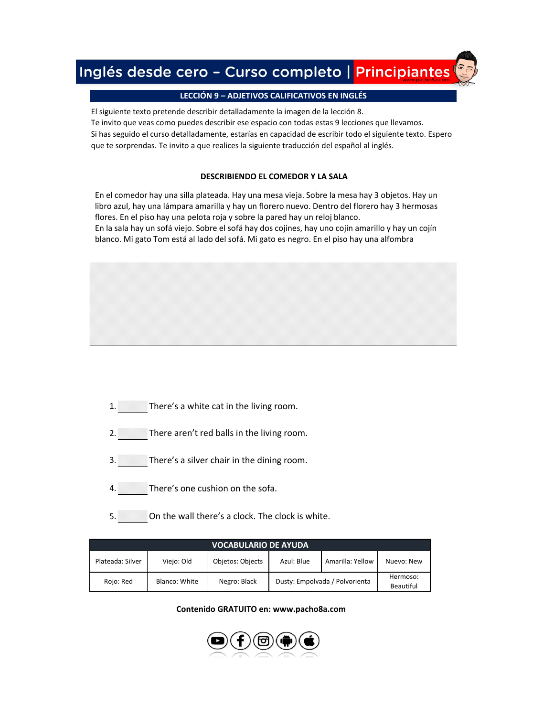# Inglés desde cero - Curso completo | Principiantes

## **[LECCIÓN 9 – ADJETIVOS CALIFICATIVOS EN INGLÉS](https://www.pacho8a.com/ingl%C3%A9s/curso-ingl%C3%A9s-desde-cero/lecci%C3%B3n-9/)**

El siguiente texto pretende describir detalladamente la imagen de la lección 8. Te invito que veas como puedes describir ese espacio con todas estas 9 lecciones que llevamos. Si has seguido el curso detalladamente, estarías en capacidad de escribir todo el siguiente texto. Espero que te sorprendas. Te invito a que realices la siguiente traducción del español al inglés.

### **DESCRIBIENDO EL COMEDOR Y LA SALA**

En el comedor hay una silla plateada. Hay una mesa vieja. Sobre la mesa hay 3 objetos. Hay un libro azul, hay una lámpara amarilla y hay un florero nuevo. Dentro del florero hay 3 hermosas flores. En el piso hay una pelota roja y sobre la pared hay un reloj blanco.

En la sala hay un sofá viejo. Sobre el sofá hay dos cojines, hay uno cojín amarillo y hay un cojín blanco. Mi gato Tom está al lado del sofá. Mi gato es negro. En el piso hay una alfombra

- 1. There's a white cat in the living room.
- 2. There aren't red balls in the living room.
- 3. There's a silver chair in the dining room.
- 4. There's one cushion on the sofa.
- 5. On the wall there's a clock. The clock is white.

| <b>VOCABULARIO DE AYUDA</b> |               |                  |                                |                  |                       |  |  |  |
|-----------------------------|---------------|------------------|--------------------------------|------------------|-----------------------|--|--|--|
| Plateada: Silver            | Viejo: Old    | Objetos: Objects | Azul: Blue                     | Amarilla: Yellow | Nuevo: New            |  |  |  |
| Rojo: Red                   | Blanco: White | Negro: Black     | Dusty: Empolvada / Polvorienta |                  | Hermoso:<br>Beautiful |  |  |  |

**Contenido GRATUITO en: www.pacho8a.com**